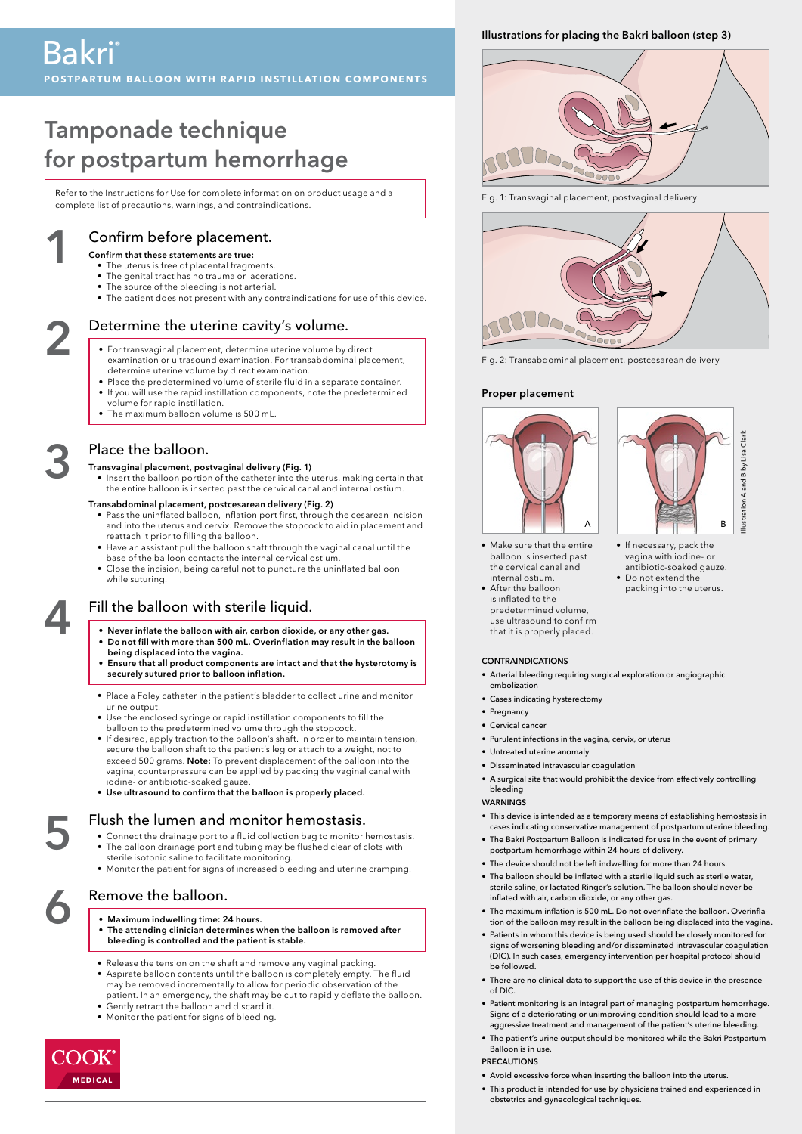# Tamponade technique for postpartum hemorrhage

Refer to the Instructions for Use for complete information on product usage and a complete list of precautions, warnings, and contraindications.

# Confirm before placement.

## Confirm that these statements are true:

1

3

4

- The uterus is free of placental fragments.
- The genital tract has no trauma or lacerations. • The source of the bleeding is not arterial.
- The patient does not present with any contraindications for use of this device.

- Determine the uterine cavity's volume.<br>
For transvaginal placement, determine uterine volume by direct examination or ultrasound examination. For transabdominal placement, determine uterine volume by direct examination.
	- Place the predetermined volume of sterile fluid in a separate container.
	- If you will use the rapid instillation components, note the predetermined
	- volume for rapid instillation. • The maximum balloon volume is 500 mL.

# Place the balloon.

# Transvaginal placement, postvaginal delivery (Fig. 1)

• Insert the balloon portion of the catheter into the uterus, making certain that the entire balloon is inserted past the cervical canal and internal ostium.

#### Transabdominal placement, postcesarean delivery (Fig. 2)

- Pass the uninflated balloon, inflation port first, through the cesarean incision and into the uterus and cervix. Remove the stopcock to aid in placement and reattach it prior to filling the balloon.
- Have an assistant pull the balloon shaft through the vaginal canal until the base of the balloon contacts the internal cervical ostium.
- Close the incision, being careful not to puncture the uninflated balloon while suturing.

# Fill the balloon with sterile liquid.

- Never inflate the balloon with air, carbon dioxide, or any other gas.
- Do not fill with more than 500 mL. Overinflation may result in the balloon being displaced into the vagina.
- Ensure that all product components are intact and that the hysterotomy is securely sutured prior to balloon inflation.
- Place a Foley catheter in the patient's bladder to collect urine and monitor urine output.
- Use the enclosed syringe or rapid instillation components to fill the balloon to the predetermined volume through the stopcock.
- If desired, apply traction to the balloon's shaft. In order to maintain tension, secure the balloon shaft to the patient's leg or attach to a weight, not to<br>exceed 500 grams. **Note:** To prevent displacement of the balloon into the vagina, counterpressure can be applied by packing the vaginal canal with iodine- or antibiotic-soaked gauze.
- Use ultrasound to confirm that the balloon is properly placed.

# Flush the lumen and monitor hemostasis.

- Connect the drainage port to a fluid collection bag to monitor hemostasis.
- The balloon drainage port and tubing may be flushed clear of clots with sterile isotonic saline to facilitate monitoring.
- Monitor the patient for signs of increased bleeding and uterine cramping.

- Remove the balloon.<br>
Maximum indwelling time: 24 hours.<br>
The attending clinician determines w The attending clinician determines when the balloon is removed after bleeding is controlled and the patient is stable.
	- Release the tension on the shaft and remove any vaginal packing.
	- Aspirate balloon contents until the balloon is completely empty. The fluid
	- may be removed incrementally to allow for periodic observation of the patient. In an emergency, the shaft may be cut to rapidly deflate the balloon. Gently retract the balloon and discard it.
	- Monitor the patient for signs of bleeding.



5

# Illustrations for placing the Bakri balloon (step 3)



Fig. 1: Transvaginal placement, postvaginal delivery



Fig. 2: Transabdominal placement, postcesarean delivery

## Proper placement





• If necessary, pack the vagina with iodine- or antibiotic-soaked gauze. • Do not extend the packing into the uterus.

- Make sure that the entire balloon is inserted past the cervical canal and internal ostium.
- After the balloon is inflated to the predetermined volume, use ultrasound to confirm that it is properly placed.

#### CONTRAINDICATIONS

- Arterial bleeding requiring surgical exploration or angiographic embolization
- Cases indicating hysterectomy
- Pregnancy
- Cervical cance
- Purulent infections in the vagina, cervix, or uterus
- Untreated uterine anomaly
- Disseminated intravascular coagulation
- A surgical site that would prohibit the device from effectively controlling bleeding

#### WARNINGS

- This device is intended as a temporary means of establishing hemostasis in cases indicating conservative management of postpartum uterine bleeding.
- The Bakri Postpartum Balloon is indicated for use in the event of primary postpartum hemorrhage within 24 hours of delivery.
- The device should not be left indwelling for more than 24 hours.
- The balloon should be inflated with a sterile liquid such as sterile water, sterile saline, or lactated Ringer's solution. The balloon should never be inflated with air, carbon dioxide, or any other gas.
- The maximum inflation is 500 mL. Do not overinflate the balloon. Overinflation of the balloon may result in the balloon being displaced into the vagina.
- Patients in whom this device is being used should be closely monitored for signs of worsening bleeding and/or disseminated intravascular coagulation (DIC). In such cases, emergency intervention per hospital protocol should be followed.
- There are no clinical data to support the use of this device in the presence of DIC.
- Patient monitoring is an integral part of managing postpartum hemorrhage. Signs of a deteriorating or unimproving condition should lead to a more aggressive treatment and management of the patient's uterine bleeding.
- The patient's urine output should be monitored while the Bakri Postpartum Balloon is in use.

## PRECAUTIONS

- Avoid excessive force when inserting the balloon into the uterus.
- This product is intended for use by physicians trained and experienced in obstetrics and gynecological techniques.